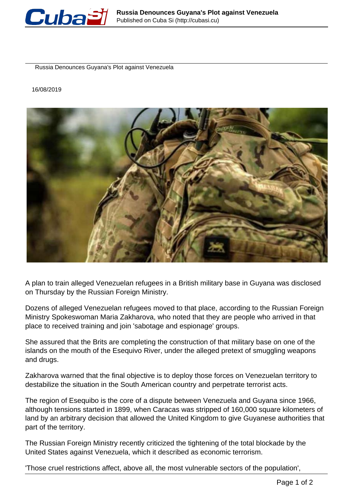

Russia Denounces Guyana's Plot against Venezuela

16/08/2019



A plan to train alleged Venezuelan refugees in a British military base in Guyana was disclosed on Thursday by the Russian Foreign Ministry.

Dozens of alleged Venezuelan refugees moved to that place, according to the Russian Foreign Ministry Spokeswoman Maria Zakharova, who noted that they are people who arrived in that place to received training and join 'sabotage and espionage' groups.

She assured that the Brits are completing the construction of that military base on one of the islands on the mouth of the Esequivo River, under the alleged pretext of smuggling weapons and drugs.

Zakharova warned that the final objective is to deploy those forces on Venezuelan territory to destabilize the situation in the South American country and perpetrate terrorist acts.

The region of Esequibo is the core of a dispute between Venezuela and Guyana since 1966, although tensions started in 1899, when Caracas was stripped of 160,000 square kilometers of land by an arbitrary decision that allowed the United Kingdom to give Guyanese authorities that part of the territory.

The Russian Foreign Ministry recently criticized the tightening of the total blockade by the United States against Venezuela, which it described as economic terrorism.

'Those cruel restrictions affect, above all, the most vulnerable sectors of the population',